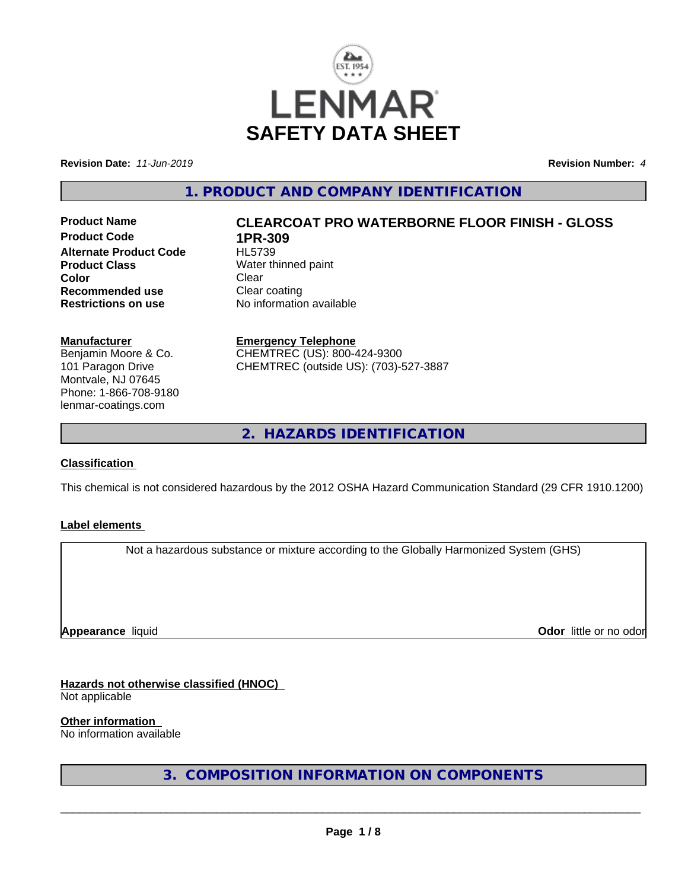

**Revision Date:** *11-Jun-2019* **Revision Number:** *4*

**1. PRODUCT AND COMPANY IDENTIFICATION**

**Product Code 1PR-309**<br>**Alternate Product Code HL5739 Alternate Product Code Product Class** Water thinned paint **Color** Clear Clear **Recommended use Clear coating<br>
<b>Restrictions on use** No information

# **Product Name CLEARCOAT PRO WATERBORNE FLOOR FINISH - GLOSS**

**No information available** 

**Manufacturer**

Benjamin Moore & Co. 101 Paragon Drive Montvale, NJ 07645 Phone: 1-866-708-9180 lenmar-coatings.com

**Emergency Telephone** CHEMTREC (US): 800-424-9300

CHEMTREC (outside US): (703)-527-3887

**2. HAZARDS IDENTIFICATION**

#### **Classification**

This chemical is not considered hazardous by the 2012 OSHA Hazard Communication Standard (29 CFR 1910.1200)

#### **Label elements**

Not a hazardous substance or mixture according to the Globally Harmonized System (GHS)

**Appearance** liquid

**Odor** little or no odor

**Hazards not otherwise classified (HNOC)**

Not applicable

**Other information**

No information available

**3. COMPOSITION INFORMATION ON COMPONENTS**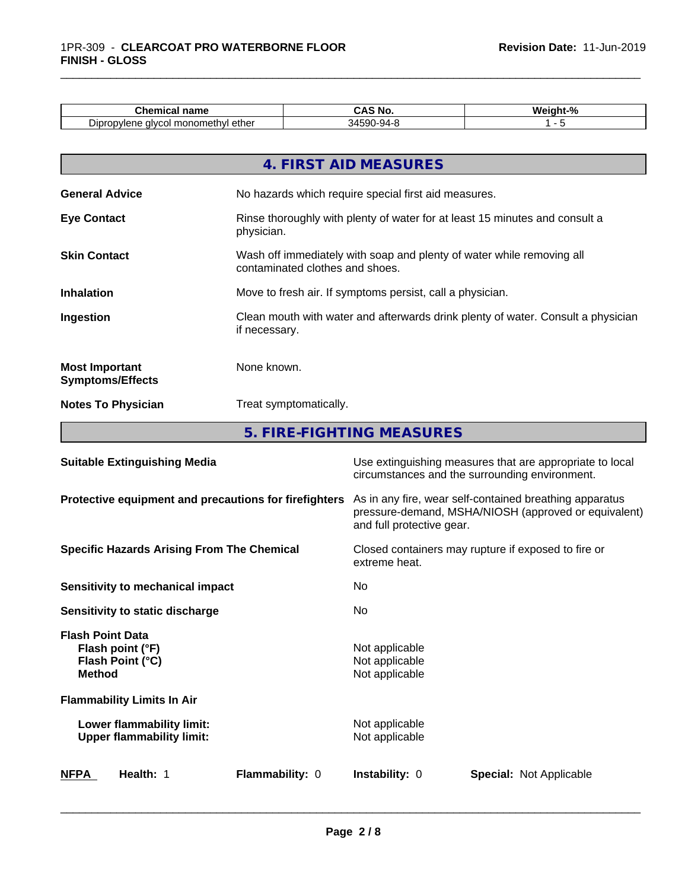| Chemical<br>name                            | --<br>NI.<br>IVU<br>unu | <br>$\mathbf{a}$<br>Neiaht· |
|---------------------------------------------|-------------------------|-----------------------------|
| l monomethvl ether<br>Dipropylene<br>alvcol | 34590-94-8              |                             |

\_\_\_\_\_\_\_\_\_\_\_\_\_\_\_\_\_\_\_\_\_\_\_\_\_\_\_\_\_\_\_\_\_\_\_\_\_\_\_\_\_\_\_\_\_\_\_\_\_\_\_\_\_\_\_\_\_\_\_\_\_\_\_\_\_\_\_\_\_\_\_\_\_\_\_\_\_\_\_\_\_\_\_\_\_\_\_\_\_\_\_\_\_

|                                                  | 4. FIRST AID MEASURES                                                                                    |
|--------------------------------------------------|----------------------------------------------------------------------------------------------------------|
| <b>General Advice</b>                            | No hazards which require special first aid measures.                                                     |
| <b>Eye Contact</b>                               | Rinse thoroughly with plenty of water for at least 15 minutes and consult a<br>physician.                |
| <b>Skin Contact</b>                              | Wash off immediately with soap and plenty of water while removing all<br>contaminated clothes and shoes. |
| <b>Inhalation</b>                                | Move to fresh air. If symptoms persist, call a physician.                                                |
| Ingestion                                        | Clean mouth with water and afterwards drink plenty of water. Consult a physician<br>if necessary.        |
| <b>Most Important</b><br><b>Symptoms/Effects</b> | None known.                                                                                              |
| <b>Notes To Physician</b>                        | Treat symptomatically.                                                                                   |

**5. FIRE-FIGHTING MEASURES**

| <b>Suitable Extinguishing Media</b>                                              | Use extinguishing measures that are appropriate to local<br>circumstances and the surrounding environment.                                   |  |
|----------------------------------------------------------------------------------|----------------------------------------------------------------------------------------------------------------------------------------------|--|
| Protective equipment and precautions for firefighters                            | As in any fire, wear self-contained breathing apparatus<br>pressure-demand, MSHA/NIOSH (approved or equivalent)<br>and full protective gear. |  |
| <b>Specific Hazards Arising From The Chemical</b>                                | Closed containers may rupture if exposed to fire or<br>extreme heat.                                                                         |  |
| Sensitivity to mechanical impact                                                 | No.                                                                                                                                          |  |
| Sensitivity to static discharge                                                  | No.                                                                                                                                          |  |
| <b>Flash Point Data</b><br>Flash point (°F)<br>Flash Point (°C)<br><b>Method</b> | Not applicable<br>Not applicable<br>Not applicable                                                                                           |  |
| <b>Flammability Limits In Air</b>                                                |                                                                                                                                              |  |
| Lower flammability limit:<br><b>Upper flammability limit:</b>                    | Not applicable<br>Not applicable                                                                                                             |  |
| Flammability: 0<br><b>NFPA</b><br>Health: 1                                      | <b>Instability: 0</b><br><b>Special: Not Applicable</b>                                                                                      |  |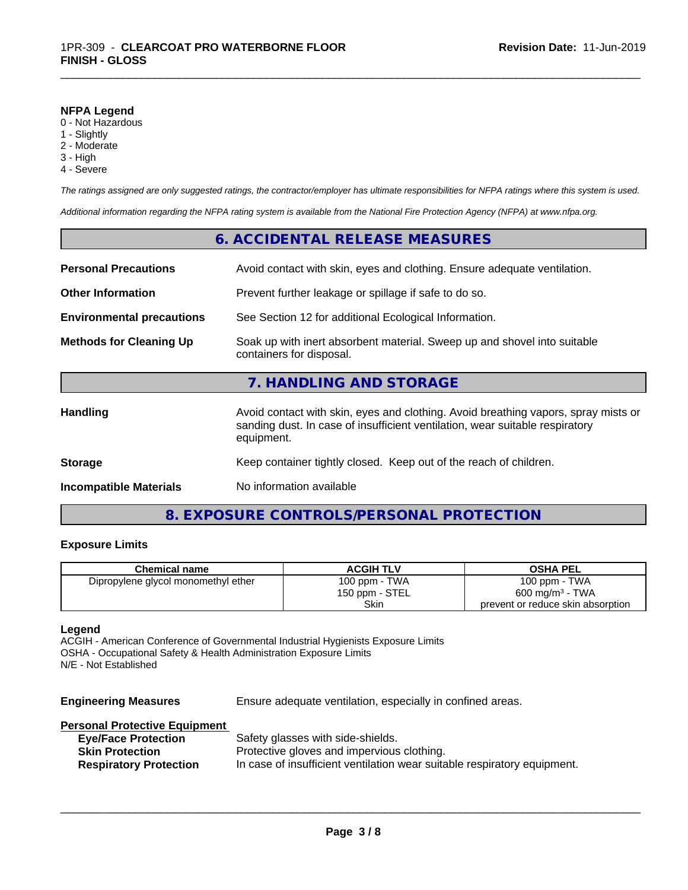#### **NFPA Legend**

- 0 Not Hazardous
- 1 Slightly
- 2 Moderate
- 3 High
- 4 Severe

*The ratings assigned are only suggested ratings, the contractor/employer has ultimate responsibilities for NFPA ratings where this system is used.*

\_\_\_\_\_\_\_\_\_\_\_\_\_\_\_\_\_\_\_\_\_\_\_\_\_\_\_\_\_\_\_\_\_\_\_\_\_\_\_\_\_\_\_\_\_\_\_\_\_\_\_\_\_\_\_\_\_\_\_\_\_\_\_\_\_\_\_\_\_\_\_\_\_\_\_\_\_\_\_\_\_\_\_\_\_\_\_\_\_\_\_\_\_

*Additional information regarding the NFPA rating system is available from the National Fire Protection Agency (NFPA) at www.nfpa.org.*

|                                  | 6. ACCIDENTAL RELEASE MEASURES                                                                                                                                                   |
|----------------------------------|----------------------------------------------------------------------------------------------------------------------------------------------------------------------------------|
| <b>Personal Precautions</b>      | Avoid contact with skin, eyes and clothing. Ensure adequate ventilation.                                                                                                         |
| <b>Other Information</b>         | Prevent further leakage or spillage if safe to do so.                                                                                                                            |
| <b>Environmental precautions</b> | See Section 12 for additional Ecological Information.                                                                                                                            |
| <b>Methods for Cleaning Up</b>   | Soak up with inert absorbent material. Sweep up and shovel into suitable<br>containers for disposal.                                                                             |
|                                  | 7. HANDLING AND STORAGE                                                                                                                                                          |
| Handling                         | Avoid contact with skin, eyes and clothing. Avoid breathing vapors, spray mists or<br>sanding dust. In case of insufficient ventilation, wear suitable respiratory<br>equipment. |
| <b>Storage</b>                   | Keep container tightly closed. Keep out of the reach of children.                                                                                                                |
| <b>Incompatible Materials</b>    | No information available                                                                                                                                                         |
|                                  |                                                                                                                                                                                  |

## **8. EXPOSURE CONTROLS/PERSONAL PROTECTION**

### **Exposure Limits**

| <b>Chemical name</b>                | <b>ACGIH TLV</b> | <b>OSHA PEL</b>                   |
|-------------------------------------|------------------|-----------------------------------|
| Dipropylene glycol monomethyl ether | 100 ppm - TWA    | 100 ppm - TWA                     |
|                                     | 150 ppm - STEL   | $600 \text{ mg/m}^3$ - TWA        |
|                                     | Skin             | prevent or reduce skin absorption |

#### **Legend**

ACGIH - American Conference of Governmental Industrial Hygienists Exposure Limits OSHA - Occupational Safety & Health Administration Exposure Limits N/E - Not Established

| <b>Engineering Measures</b>          | Ensure adequate ventilation, especially in confined areas.               |
|--------------------------------------|--------------------------------------------------------------------------|
| <b>Personal Protective Equipment</b> |                                                                          |
| <b>Eye/Face Protection</b>           | Safety glasses with side-shields.                                        |
| <b>Skin Protection</b>               | Protective gloves and impervious clothing.                               |
| <b>Respiratory Protection</b>        | In case of insufficient ventilation wear suitable respiratory equipment. |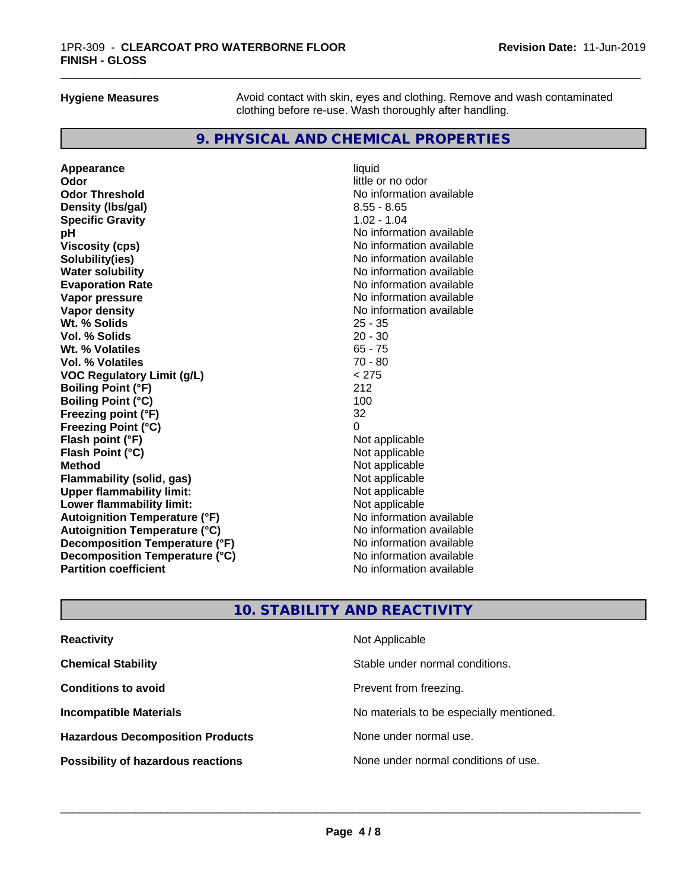**Hygiene Measures** Avoid contact with skin, eyes and clothing. Remove and wash contaminated clothing before re-use. Wash thoroughly after handling.

\_\_\_\_\_\_\_\_\_\_\_\_\_\_\_\_\_\_\_\_\_\_\_\_\_\_\_\_\_\_\_\_\_\_\_\_\_\_\_\_\_\_\_\_\_\_\_\_\_\_\_\_\_\_\_\_\_\_\_\_\_\_\_\_\_\_\_\_\_\_\_\_\_\_\_\_\_\_\_\_\_\_\_\_\_\_\_\_\_\_\_\_\_

## **9. PHYSICAL AND CHEMICAL PROPERTIES**

**Appearance** liquid **Odor** little or no odor **Odor Threshold No information available Density (lbs/gal)** 8.55 - 8.65 **Specific Gravity** 1.02 - 1.04 **pH pH**  $\blacksquare$ **Viscosity (cps)** No information available<br> **Solubility(ies)** No information available **Solubility(ies)**<br> **No information available**<br> **Water solubility**<br> **Water solubility Evaporation Rate No information available No information available Vapor pressure** No information available **Vapor density Vapor** density **Wt. % Solids** 25 - 35 **Vol. % Solids** 20 - 30 **Wt. % Volatiles Vol. % Volatiles** 70 - 80 **VOC Regulatory Limit (g/L)** < 275 **Boiling Point (°F)** 212 **Boiling Point (°C)** 100<br>**Freezing point (°F)** 100<br>32 **Freezing point (°F) Freezing Point (°C)** 0 **Flash point (°F)**<br> **Flash Point (°C)**<br> **Flash Point (°C)**<br> **Clash Point (°C) Flash Point (°C) Method** Not applicable not applicable not applicable not applicable not applicable not applicable not applicable **Flammability (solid, gas)** Not applicable<br> **Upper flammability limit:** Not applicable **Upper flammability limit:**<br> **Lower flammability limit:** Not applicable Not applicable **Lower flammability limit: Autoignition Temperature (°F)**<br> **Autoignition Temperature (°C)** No information available **Autoignition Temperature (°C) Decomposition Temperature (°F)**<br> **Decomposition Temperature (°C)** Moinformation available **Decomposition Temperature (°C)**<br>Partition coefficient

**No information available No information available** 

## **10. STABILITY AND REACTIVITY**

| <b>Reactivity</b>                         | Not Applicable                           |
|-------------------------------------------|------------------------------------------|
| <b>Chemical Stability</b>                 | Stable under normal conditions.          |
| <b>Conditions to avoid</b>                | Prevent from freezing.                   |
| <b>Incompatible Materials</b>             | No materials to be especially mentioned. |
| <b>Hazardous Decomposition Products</b>   | None under normal use.                   |
| <b>Possibility of hazardous reactions</b> | None under normal conditions of use.     |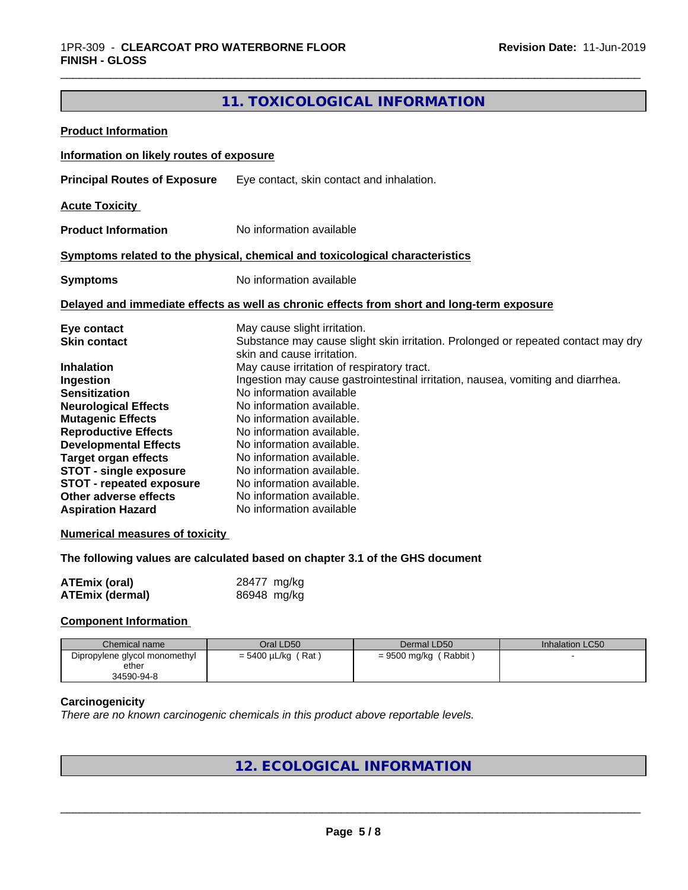## **11. TOXICOLOGICAL INFORMATION**

| <b>Product Information</b>                                                                                                                                                                                                                                                                            |                                                                                                                                                                                                                                                                                                                                                                                                   |
|-------------------------------------------------------------------------------------------------------------------------------------------------------------------------------------------------------------------------------------------------------------------------------------------------------|---------------------------------------------------------------------------------------------------------------------------------------------------------------------------------------------------------------------------------------------------------------------------------------------------------------------------------------------------------------------------------------------------|
| Information on likely routes of exposure                                                                                                                                                                                                                                                              |                                                                                                                                                                                                                                                                                                                                                                                                   |
| <b>Principal Routes of Exposure</b>                                                                                                                                                                                                                                                                   | Eye contact, skin contact and inhalation.                                                                                                                                                                                                                                                                                                                                                         |
| <b>Acute Toxicity</b>                                                                                                                                                                                                                                                                                 |                                                                                                                                                                                                                                                                                                                                                                                                   |
| <b>Product Information</b>                                                                                                                                                                                                                                                                            | No information available                                                                                                                                                                                                                                                                                                                                                                          |
|                                                                                                                                                                                                                                                                                                       | Symptoms related to the physical, chemical and toxicological characteristics                                                                                                                                                                                                                                                                                                                      |
| <b>Symptoms</b>                                                                                                                                                                                                                                                                                       | No information available                                                                                                                                                                                                                                                                                                                                                                          |
|                                                                                                                                                                                                                                                                                                       | Delayed and immediate effects as well as chronic effects from short and long-term exposure                                                                                                                                                                                                                                                                                                        |
| Eye contact<br><b>Skin contact</b>                                                                                                                                                                                                                                                                    | May cause slight irritation.<br>Substance may cause slight skin irritation. Prolonged or repeated contact may dry<br>skin and cause irritation.                                                                                                                                                                                                                                                   |
| <b>Inhalation</b><br>Ingestion<br><b>Sensitization</b><br><b>Neurological Effects</b><br><b>Mutagenic Effects</b><br><b>Reproductive Effects</b><br><b>Developmental Effects</b><br><b>Target organ effects</b><br>STOT - single exposure<br><b>STOT - repeated exposure</b><br>Other adverse effects | May cause irritation of respiratory tract.<br>Ingestion may cause gastrointestinal irritation, nausea, vomiting and diarrhea.<br>No information available<br>No information available.<br>No information available.<br>No information available.<br>No information available.<br>No information available.<br>No information available.<br>No information available.<br>No information available. |

#### **Numerical measures of toxicity**

**The following values are calculated based on chapter 3.1 of the GHS document**

| <b>ATEmix (oral)</b>   | 28477 mg/kg |
|------------------------|-------------|
| <b>ATEmix (dermal)</b> | 86948 mg/kg |

#### **Component Information**

| Chemical name                 | Oral LD50               | Dermal LD50             | Inhalation LC50 |
|-------------------------------|-------------------------|-------------------------|-----------------|
| Dipropylene glycol monomethyl | $= 5400 \mu L/kg$ (Rat) | $= 9500$ mg/kg (Rabbit) |                 |
| ether                         |                         |                         |                 |
| 34590-94-8                    |                         |                         |                 |

#### **Carcinogenicity**

*There are no known carcinogenic chemicals in this product above reportable levels.*

## **12. ECOLOGICAL INFORMATION**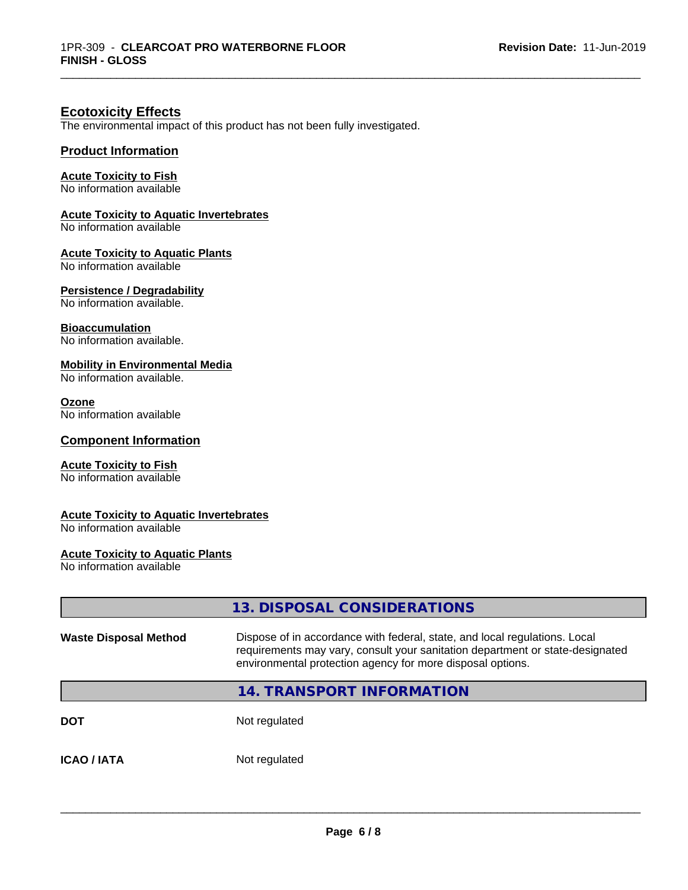\_\_\_\_\_\_\_\_\_\_\_\_\_\_\_\_\_\_\_\_\_\_\_\_\_\_\_\_\_\_\_\_\_\_\_\_\_\_\_\_\_\_\_\_\_\_\_\_\_\_\_\_\_\_\_\_\_\_\_\_\_\_\_\_\_\_\_\_\_\_\_\_\_\_\_\_\_\_\_\_\_\_\_\_\_\_\_\_\_\_\_\_\_

## **Ecotoxicity Effects**

The environmental impact of this product has not been fully investigated.

#### **Product Information**

#### **Acute Toxicity to Fish**

No information available

#### **Acute Toxicity to Aquatic Invertebrates**

No information available

#### **Acute Toxicity to Aquatic Plants**

No information available

#### **Persistence / Degradability**

No information available.

#### **Bioaccumulation**

No information available.

#### **Mobility in Environmental Media**

No information available.

#### **Ozone**

No information available

#### **Component Information**

#### **Acute Toxicity to Fish**

No information available

#### **Acute Toxicity to Aquatic Invertebrates**

No information available

### **Acute Toxicity to Aquatic Plants**

No information available

|                              | 13. DISPOSAL CONSIDERATIONS                                                                                                                                                                                               |
|------------------------------|---------------------------------------------------------------------------------------------------------------------------------------------------------------------------------------------------------------------------|
| <b>Waste Disposal Method</b> | Dispose of in accordance with federal, state, and local regulations. Local<br>requirements may vary, consult your sanitation department or state-designated<br>environmental protection agency for more disposal options. |
|                              | <b>14. TRANSPORT INFORMATION</b>                                                                                                                                                                                          |
| <b>DOT</b>                   | Not regulated                                                                                                                                                                                                             |
| <b>ICAO/IATA</b>             | Not regulated                                                                                                                                                                                                             |
|                              |                                                                                                                                                                                                                           |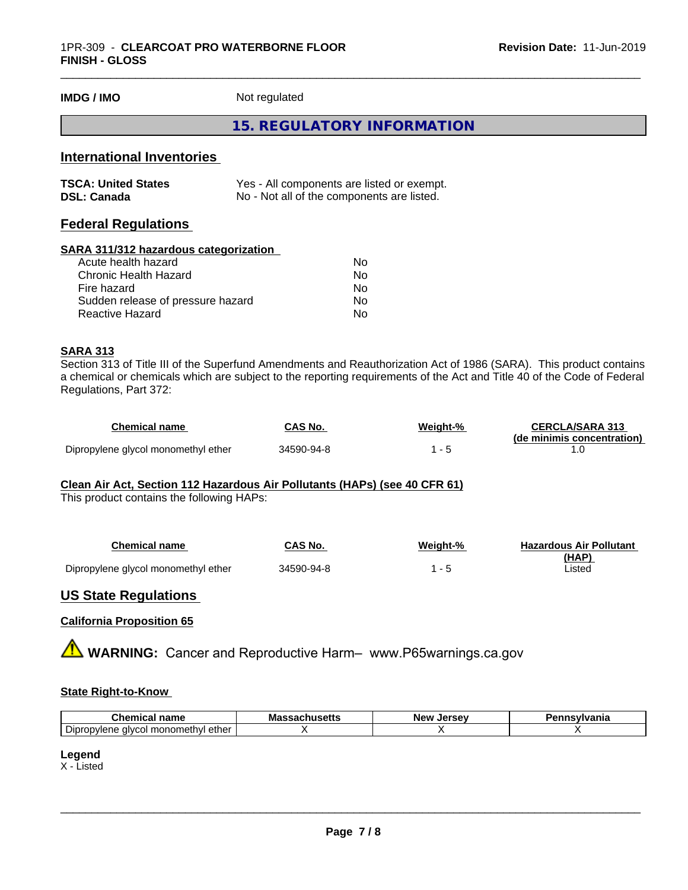**IMDG / IMO** Not regulated

#### **15. REGULATORY INFORMATION**

\_\_\_\_\_\_\_\_\_\_\_\_\_\_\_\_\_\_\_\_\_\_\_\_\_\_\_\_\_\_\_\_\_\_\_\_\_\_\_\_\_\_\_\_\_\_\_\_\_\_\_\_\_\_\_\_\_\_\_\_\_\_\_\_\_\_\_\_\_\_\_\_\_\_\_\_\_\_\_\_\_\_\_\_\_\_\_\_\_\_\_\_\_

## **International Inventories**

| <b>TSCA: United States</b> | Yes - All components are listed or exempt. |
|----------------------------|--------------------------------------------|
| <b>DSL: Canada</b>         | No - Not all of the components are listed. |

## **Federal Regulations**

#### **SARA 311/312 hazardous categorization**

| No |
|----|
| Nο |
| No |
| Nο |
| N٥ |
|    |

#### **SARA 313**

Section 313 of Title III of the Superfund Amendments and Reauthorization Act of 1986 (SARA). This product contains a chemical or chemicals which are subject to the reporting requirements of the Act and Title 40 of the Code of Federal Regulations, Part 372:

| Chemical name                       | CAS No.    | Weight-% | <b>CERCLA/SARA 313</b>     |
|-------------------------------------|------------|----------|----------------------------|
|                                     |            |          | (de minimis concentration) |
| Dipropylene glycol monomethyl ether | 34590-94-8 |          |                            |

#### **Clean Air Act,Section 112 Hazardous Air Pollutants (HAPs) (see 40 CFR 61)**

This product contains the following HAPs:

| Chemical name                       | CAS No.    | Weight-% | <b>Hazardous Air Pollutant</b> |
|-------------------------------------|------------|----------|--------------------------------|
|                                     |            |          | (HAP)                          |
| Dipropylene glycol monomethyl ether | 34590-94-8 |          | Listed                         |

#### **US State Regulations**

#### **California Proposition 65**

**A** WARNING: Cancer and Reproductive Harm– www.P65warnings.ca.gov

#### **State Right-to-Know**

| . <del>.</del> .<br>- -<br>name<br>Chemica                                       | Mass<br>…Jaul  ujulio | <b>Jersey</b><br><b>Nev</b> | <b>`nsylvania</b> |
|----------------------------------------------------------------------------------|-----------------------|-----------------------------|-------------------|
| $\overline{\phantom{a}}$<br>∵ monometh∨l ether ار<br>Dipropylene<br>alvca<br>. 1 |                       |                             |                   |

#### **Legend**

X - Listed